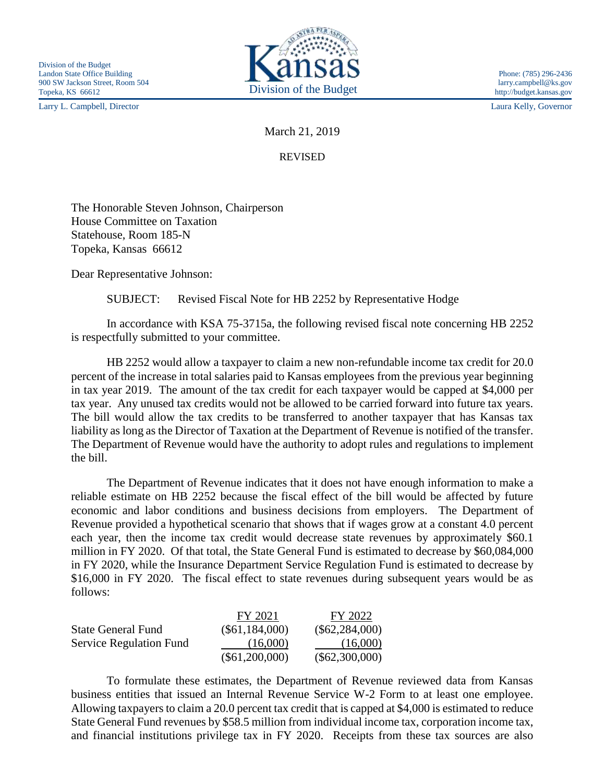Larry L. Campbell, Director Laura Kelly, Governor



March 21, 2019

REVISED

The Honorable Steven Johnson, Chairperson House Committee on Taxation Statehouse, Room 185-N Topeka, Kansas 66612

Dear Representative Johnson:

SUBJECT: Revised Fiscal Note for HB 2252 by Representative Hodge

In accordance with KSA 75-3715a, the following revised fiscal note concerning HB 2252 is respectfully submitted to your committee.

HB 2252 would allow a taxpayer to claim a new non-refundable income tax credit for 20.0 percent of the increase in total salaries paid to Kansas employees from the previous year beginning in tax year 2019. The amount of the tax credit for each taxpayer would be capped at \$4,000 per tax year. Any unused tax credits would not be allowed to be carried forward into future tax years. The bill would allow the tax credits to be transferred to another taxpayer that has Kansas tax liability as long as the Director of Taxation at the Department of Revenue is notified of the transfer. The Department of Revenue would have the authority to adopt rules and regulations to implement the bill.

The Department of Revenue indicates that it does not have enough information to make a reliable estimate on HB 2252 because the fiscal effect of the bill would be affected by future economic and labor conditions and business decisions from employers. The Department of Revenue provided a hypothetical scenario that shows that if wages grow at a constant 4.0 percent each year, then the income tax credit would decrease state revenues by approximately \$60.1 million in FY 2020. Of that total, the State General Fund is estimated to decrease by \$60,084,000 in FY 2020, while the Insurance Department Service Regulation Fund is estimated to decrease by \$16,000 in FY 2020. The fiscal effect to state revenues during subsequent years would be as follows:

|                           | FY 2021          | FY 2022          |
|---------------------------|------------------|------------------|
| <b>State General Fund</b> | $(\$61,184,000)$ | $(\$62,284,000)$ |
| Service Regulation Fund   | (16,000)         | (16,000)         |
|                           | $(\$61,200,000)$ | $(\$62,300,000)$ |

To formulate these estimates, the Department of Revenue reviewed data from Kansas business entities that issued an Internal Revenue Service W-2 Form to at least one employee. Allowing taxpayers to claim a 20.0 percent tax credit that is capped at \$4,000 is estimated to reduce State General Fund revenues by \$58.5 million from individual income tax, corporation income tax, and financial institutions privilege tax in FY 2020. Receipts from these tax sources are also